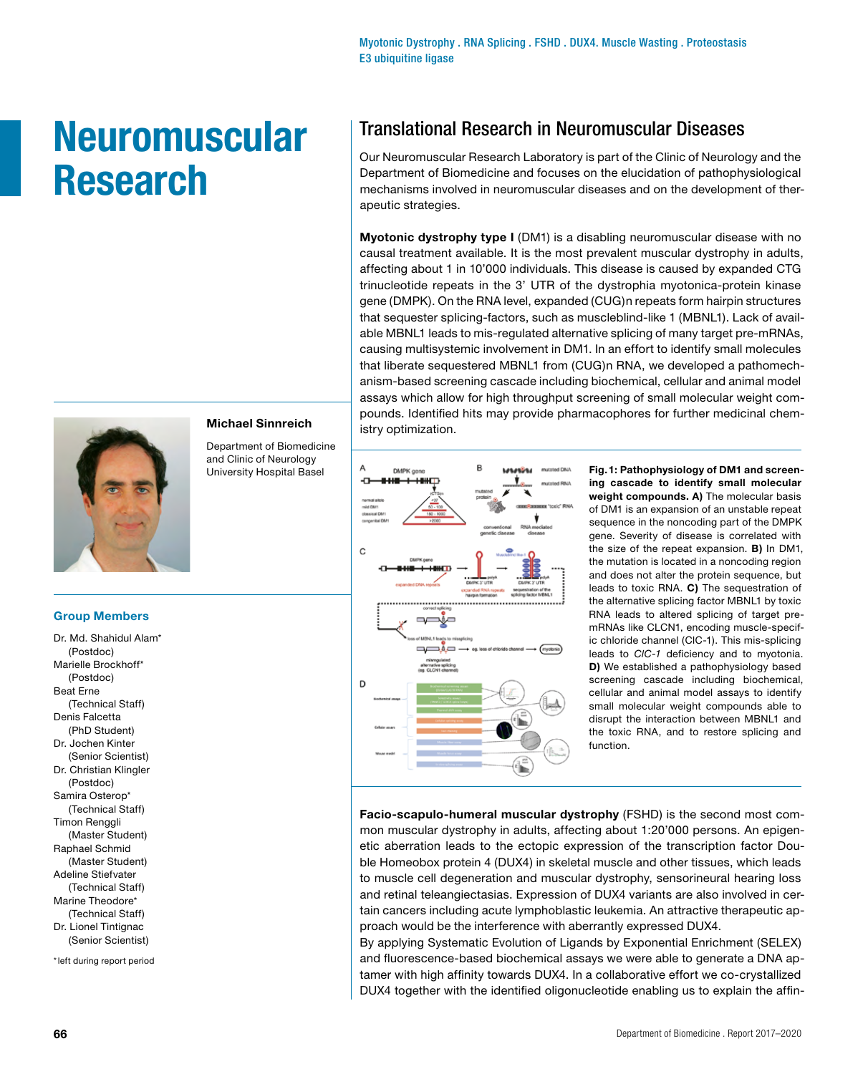Myotonic Dystrophy . RNA Splicing . FSHD . DUX4. Muscle Wasting . Proteostasis E3 ubiquitine ligase

# **Neuromuscular Research**



## **Michael Sinnreich**

Department of Biomedicine and Clinic of Neurology University Hospital Basel

## **Group Members**

Dr. Md. Shahidul Alam\* (Postdoc) Marielle Brockhoff\* (Postdoc) Beat Erne (Technical Staff) Denis Falcetta (PhD Student) Dr. Jochen Kinter (Senior Scientist) Dr. Christian Klingler (Postdoc) Samira Osterop<sup>\*</sup> (Technical Staff) Timon Renggli (Master Student) Raphael Schmid (Master Student) Adeline Stiefvater (Technical Staff) Marine Theodore\* (Technical Staff) Dr. Lionel Tintignac (Senior Scientist) \*left during report period

## Translational Research in Neuromuscular Diseases

Our Neuromuscular Research Laboratory is part of the Clinic of Neurology and the Department of Biomedicine and focuses on the elucidation of pathophysiological mechanisms involved in neuromuscular diseases and on the development of therapeutic strategies.

**Myotonic dystrophy type I** (DM1) is a disabling neuromuscular disease with no causal treatment available. It is the most prevalent muscular dystrophy in adults, affecting about 1 in 10'000 individuals. This disease is caused by expanded CTG trinucleotide repeats in the 3' UTR of the dystrophia myotonica-protein kinase gene (DMPK). On the RNA level, expanded (CUG)n repeats form hairpin structures that sequester splicing-factors, such as muscleblind-like 1 (MBNL1). Lack of available MBNL1 leads to mis-regulated alternative splicing of many target pre-mRNAs, causing multisystemic involvement in DM1. In an effort to identify small molecules that liberate sequestered MBNL1 from (CUG)n RNA, we developed a pathomechanism-based screening cascade including biochemical, cellular and animal model assays which allow for high throughput screening of small molecular weight compounds. Identified hits may provide pharmacophores for further medicinal chemistry optimization.



**Fig.1: Pathophysiology of DM1 and screening cascade to identify small molecular weight compounds. A)** The molecular basis of DM1 is an expansion of an unstable repeat sequence in the noncoding part of the DMPK gene. Severity of disease is correlated with the size of the repeat expansion. **B)** In DM1, the mutation is located in a noncoding region and does not alter the protein sequence, but leads to toxic RNA. **C)** The sequestration of the alternative splicing factor MBNL1 by toxic RNA leads to altered splicing of target premRNAs like CLCN1, encoding muscle-specific chloride channel (ClC-1). This mis-splicing leads to *ClC-1* deficiency and to myotonia. **D)** We established a pathophysiology based screening cascade including biochemical, cellular and animal model assays to identify small molecular weight compounds able to disrupt the interaction between MBNL1 and the toxic RNA, and to restore splicing and function.

**Facio-scapulo-humeral muscular dystrophy** (FSHD) is the second most common muscular dystrophy in adults, affecting about 1:20'000 persons. An epigenetic aberration leads to the ectopic expression of the transcription factor Double Homeobox protein 4 (DUX4) in skeletal muscle and other tissues, which leads to muscle cell degeneration and muscular dystrophy, sensorineural hearing loss and retinal teleangiectasias. Expression of DUX4 variants are also involved in certain cancers including acute lymphoblastic leukemia. An attractive therapeutic approach would be the interference with aberrantly expressed DUX4.

By applying Systematic Evolution of Ligands by Exponential Enrichment (SELEX) and fluorescence-based biochemical assays we were able to generate a DNA aptamer with high affinity towards DUX4. In a collaborative effort we co-crystallized DUX4 together with the identified oligonucleotide enabling us to explain the affin